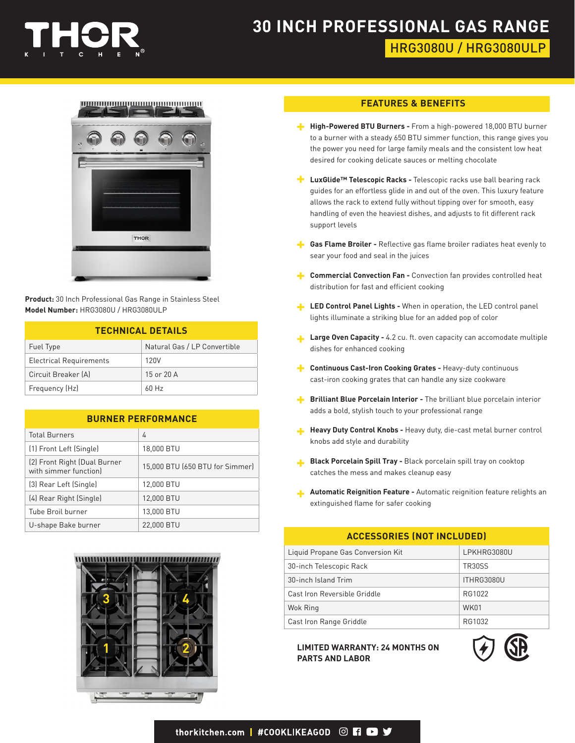

# **30 INCH PROFESSIONAL GAS RANGE** HRG3080U / HRG3080ULP



**Product:** 30 Inch Professional Gas Range in Stainless Steel **Model Number:** HRG3080U / HRG3080ULP

| <b>TECHNICAL DETAILS</b>       |                              |  |
|--------------------------------|------------------------------|--|
| Fuel Type                      | Natural Gas / LP Convertible |  |
| <b>Electrical Requirements</b> | 120V                         |  |
| Circuit Breaker (A)            | $15$ or $20$ A               |  |
| Frequency (Hz)                 | $60$ Hz                      |  |

| <b>BURNER PERFORMANCE</b> |  |  |  |
|---------------------------|--|--|--|
|                           |  |  |  |

| <b>Total Burners</b>                                  | 4                               |
|-------------------------------------------------------|---------------------------------|
| (1) Front Left (Single)                               | 18,000 BTU                      |
| (2) Front Right (Dual Burner<br>with simmer function) | 15,000 BTU (650 BTU for Simmer) |
| (3) Rear Left (Single)                                | 12,000 BTU                      |
| (4) Rear Right (Single)                               | 12,000 BTU                      |
| Tube Broil burner                                     | 13,000 BTU                      |
| U-shape Bake burner                                   | 22,000 BTU                      |



#### **FEATURES & BENEFITS**

- **High-Powered BTU Burners -** From a high-powered 18,000 BTU burner to a burner with a steady 650 BTU simmer function, this range gives you the power you need for large family meals and the consistent low heat desired for cooking delicate sauces or melting chocolate
- <sup>1</sup> LuxGlide<sup>™</sup> Telescopic Racks Telescopic racks use ball bearing rack guides for an effortless glide in and out of the oven. This luxury feature allows the rack to extend fully without tipping over for smooth, easy handling of even the heaviest dishes, and adjusts to fit different rack support levels
- **Gas Flame Broiler -** Reflective gas flame broiler radiates heat evenly to sear your food and seal in the juices
- **Commercial Convection Fan -** Convection fan provides controlled heat distribution for fast and efficient cooking
- **LED Control Panel Lights -** When in operation, the LED control panel lights illuminate a striking blue for an added pop of color
- **Large Oven Capacity -** 4.2 cu. ft. oven capacity can accomodate multiple dishes for enhanced cooking
- **Continuous Cast-Iron Cooking Grates Heavy-duty continuous** cast-iron cooking grates that can handle any size cookware
- **Brilliant Blue Porcelain Interior -** The brilliant blue porcelain interior adds a bold, stylish touch to your professional range
- **Heavy Duty Control Knobs Heavy duty, die-cast metal burner control** knobs add style and durability
- **Black Porcelain Spill Tray -** Black porcelain spill tray on cooktop catches the mess and makes cleanup easy
- **Automatic Reignition Feature -** Automatic reignition feature relights an extinguished flame for safer cooking

#### **ACCESSORIES (NOT INCLUDED)**

| Liquid Propane Gas Conversion Kit | LPKHRG3080U   |
|-----------------------------------|---------------|
| 30-inch Telescopic Rack           | <b>TR30SS</b> |
| 30-inch Island Trim               | ITHRG3080U    |
| Cast Iron Reversible Griddle      | RG1022        |
| Wok Ring                          | WK01          |
| Cast Iron Range Griddle           | RG1032        |

**LIMITED WARRANTY: 24 MONTHS ON PARTS AND LABOR**